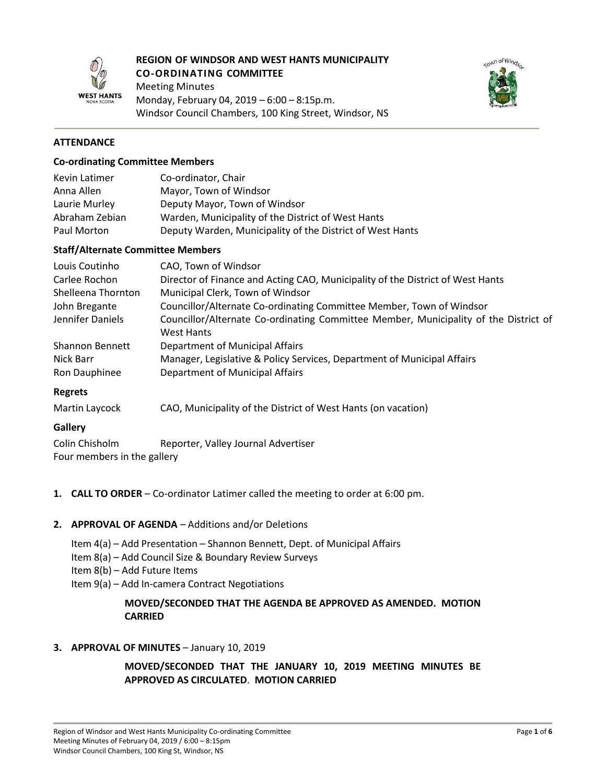

# **REGION OF WINDSOR AND WEST HANTS MUNICIPALITY CO-ORDINATING COMMITTEE**

Meeting Minutes Monday, February 04, 2019 – 6:00 – 8:15p.m. Windsor Council Chambers, 100 King Street, Windsor, NS



## **ATTENDANCE**

#### **Co-ordinating Committee Members**

| Kevin Latimer  | Co-ordinator, Chair                                       |
|----------------|-----------------------------------------------------------|
| Anna Allen     | Mayor, Town of Windsor                                    |
| Laurie Murley  | Deputy Mayor, Town of Windsor                             |
| Abraham Zebian | Warden, Municipality of the District of West Hants        |
| Paul Morton    | Deputy Warden, Municipality of the District of West Hants |

#### **Staff/Alternate Committee Members**

| Louis Coutinho         | CAO, Town of Windsor                                                                 |
|------------------------|--------------------------------------------------------------------------------------|
| Carlee Rochon          | Director of Finance and Acting CAO, Municipality of the District of West Hants       |
| Shelleena Thornton     | Municipal Clerk, Town of Windsor                                                     |
| John Bregante          | Councillor/Alternate Co-ordinating Committee Member, Town of Windsor                 |
| Jennifer Daniels       | Councillor/Alternate Co-ordinating Committee Member, Municipality of the District of |
|                        | West Hants                                                                           |
| <b>Shannon Bennett</b> | Department of Municipal Affairs                                                      |
| Nick Barr              | Manager, Legislative & Policy Services, Department of Municipal Affairs              |
| Ron Dauphinee          | Department of Municipal Affairs                                                      |
| <b>Regrets</b>         |                                                                                      |
| Martin Laycock         | CAO, Municipality of the District of West Hants (on vacation)                        |

### **Gallery**

| Colin Chisholm              | Reporter, Valley Journal Advertiser |
|-----------------------------|-------------------------------------|
| Four members in the gallery |                                     |

**1. CALL TO ORDER** – Co-ordinator Latimer called the meeting to order at 6:00 pm.

### **2. APPROVAL OF AGENDA** – Additions and/or Deletions

- Item 4(a) Add Presentation Shannon Bennett, Dept. of Municipal Affairs
- Item 8(a) Add Council Size & Boundary Review Surveys
- Item 8(b) Add Future Items
- Item 9(a) Add In-camera Contract Negotiations

## **MOVED/SECONDED THAT THE AGENDA BE APPROVED AS AMENDED. MOTION CARRIED**

#### **3. APPROVAL OF MINUTES** – January 10, 2019

**MOVED/SECONDED THAT THE JANUARY 10, 2019 MEETING MINUTES BE APPROVED AS CIRCULATED**. **MOTION CARRIED**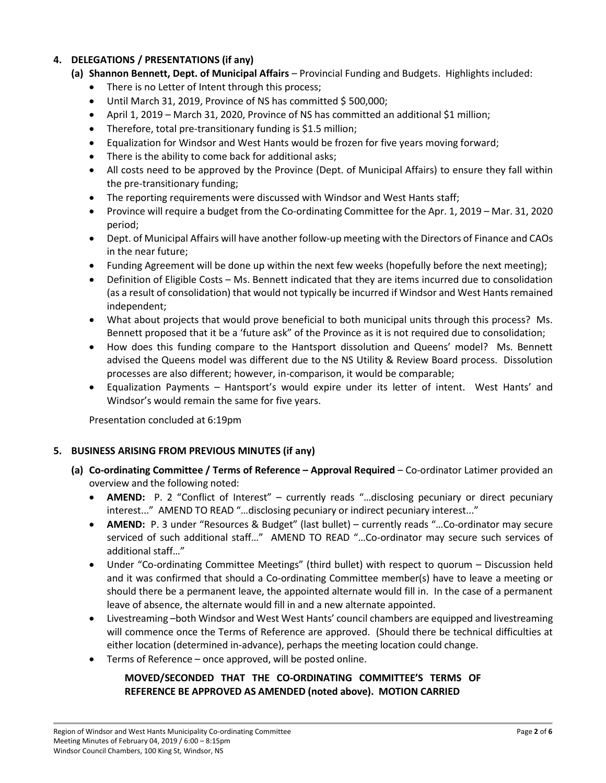# **4. DELEGATIONS / PRESENTATIONS (if any)**

- **(a) Shannon Bennett, Dept. of Municipal Affairs** Provincial Funding and Budgets. Highlights included:
	- There is no Letter of Intent through this process;
	- $\bullet$  Until March 31, 2019, Province of NS has committed \$500,000;
	- April 1, 2019 March 31, 2020, Province of NS has committed an additional \$1 million;
	- Therefore, total pre-transitionary funding is \$1.5 million;
	- Equalization for Windsor and West Hants would be frozen for five years moving forward;
	- There is the ability to come back for additional asks;
	- All costs need to be approved by the Province (Dept. of Municipal Affairs) to ensure they fall within the pre-transitionary funding;
	- The reporting requirements were discussed with Windsor and West Hants staff;
	- Province will require a budget from the Co-ordinating Committee for the Apr. 1, 2019 Mar. 31, 2020 period;
	- Dept. of Municipal Affairs will have another follow-up meeting with the Directors of Finance and CAOs in the near future;
	- Funding Agreement will be done up within the next few weeks (hopefully before the next meeting);
	- Definition of Eligible Costs Ms. Bennett indicated that they are items incurred due to consolidation (as a result of consolidation) that would not typically be incurred if Windsor and West Hants remained independent;
	- What about projects that would prove beneficial to both municipal units through this process? Ms. Bennett proposed that it be a 'future ask" of the Province as it is not required due to consolidation;
	- How does this funding compare to the Hantsport dissolution and Queens' model? Ms. Bennett advised the Queens model was different due to the NS Utility & Review Board process. Dissolution processes are also different; however, in-comparison, it would be comparable;
	- Equalization Payments Hantsport's would expire under its letter of intent. West Hants' and Windsor's would remain the same for five years.

Presentation concluded at 6:19pm

# **5. BUSINESS ARISING FROM PREVIOUS MINUTES (if any)**

- **(a) Co-ordinating Committee / Terms of Reference – Approval Required** Co-ordinator Latimer provided an overview and the following noted:
	- **AMEND:** P. 2 "Conflict of Interest" currently reads "…disclosing pecuniary or direct pecuniary interest..." AMEND TO READ "…disclosing pecuniary or indirect pecuniary interest..."
	- **AMEND:** P. 3 under "Resources & Budget" (last bullet) currently reads "…Co-ordinator may secure serviced of such additional staff…" AMEND TO READ "…Co-ordinator may secure such services of additional staff…"
	- Under "Co-ordinating Committee Meetings" (third bullet) with respect to quorum Discussion held and it was confirmed that should a Co-ordinating Committee member(s) have to leave a meeting or should there be a permanent leave, the appointed alternate would fill in. In the case of a permanent leave of absence, the alternate would fill in and a new alternate appointed.
	- Livestreaming –both Windsor and West West Hants' council chambers are equipped and livestreaming will commence once the Terms of Reference are approved. (Should there be technical difficulties at either location (determined in-advance), perhaps the meeting location could change.
	- Terms of Reference once approved, will be posted online.

# **MOVED/SECONDED THAT THE CO-ORDINATING COMMITTEE'S TERMS OF REFERENCE BE APPROVED AS AMENDED (noted above). MOTION CARRIED**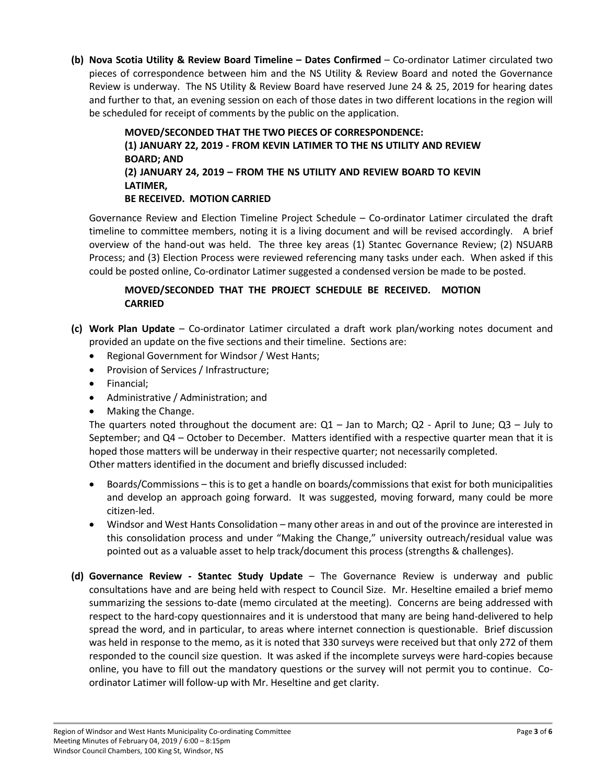**(b) Nova Scotia Utility & Review Board Timeline – Dates Confirmed** – Co-ordinator Latimer circulated two pieces of correspondence between him and the NS Utility & Review Board and noted the Governance Review is underway. The NS Utility & Review Board have reserved June 24 & 25, 2019 for hearing dates and further to that, an evening session on each of those dates in two different locations in the region will be scheduled for receipt of comments by the public on the application.

> **MOVED/SECONDED THAT THE TWO PIECES OF CORRESPONDENCE: (1) JANUARY 22, 2019 - FROM KEVIN LATIMER TO THE NS UTILITY AND REVIEW BOARD; AND (2) JANUARY 24, 2019 – FROM THE NS UTILITY AND REVIEW BOARD TO KEVIN LATIMER, BE RECEIVED. MOTION CARRIED**

Governance Review and Election Timeline Project Schedule – Co-ordinator Latimer circulated the draft timeline to committee members, noting it is a living document and will be revised accordingly. A brief overview of the hand-out was held. The three key areas (1) Stantec Governance Review; (2) NSUARB Process; and (3) Election Process were reviewed referencing many tasks under each. When asked if this could be posted online, Co-ordinator Latimer suggested a condensed version be made to be posted.

# **MOVED/SECONDED THAT THE PROJECT SCHEDULE BE RECEIVED. MOTION CARRIED**

- **(c) Work Plan Update** Co-ordinator Latimer circulated a draft work plan/working notes document and provided an update on the five sections and their timeline. Sections are:
	- Regional Government for Windsor / West Hants;
	- Provision of Services / Infrastructure;
	- Financial:
	- Administrative / Administration; and
	- Making the Change.

The quarters noted throughout the document are:  $Q1 -$  Jan to March;  $Q2 -$  April to June;  $Q3 -$  July to September; and Q4 – October to December. Matters identified with a respective quarter mean that it is hoped those matters will be underway in their respective quarter; not necessarily completed. Other matters identified in the document and briefly discussed included:

- Boards/Commissions this is to get a handle on boards/commissions that exist for both municipalities and develop an approach going forward. It was suggested, moving forward, many could be more citizen-led.
- Windsor and West Hants Consolidation many other areas in and out of the province are interested in this consolidation process and under "Making the Change," university outreach/residual value was pointed out as a valuable asset to help track/document this process (strengths & challenges).
- **(d) Governance Review - Stantec Study Update** The Governance Review is underway and public consultations have and are being held with respect to Council Size. Mr. Heseltine emailed a brief memo summarizing the sessions to-date (memo circulated at the meeting). Concerns are being addressed with respect to the hard-copy questionnaires and it is understood that many are being hand-delivered to help spread the word, and in particular, to areas where internet connection is questionable. Brief discussion was held in response to the memo, as it is noted that 330 surveys were received but that only 272 of them responded to the council size question. It was asked if the incomplete surveys were hard-copies because online, you have to fill out the mandatory questions or the survey will not permit you to continue. Coordinator Latimer will follow-up with Mr. Heseltine and get clarity.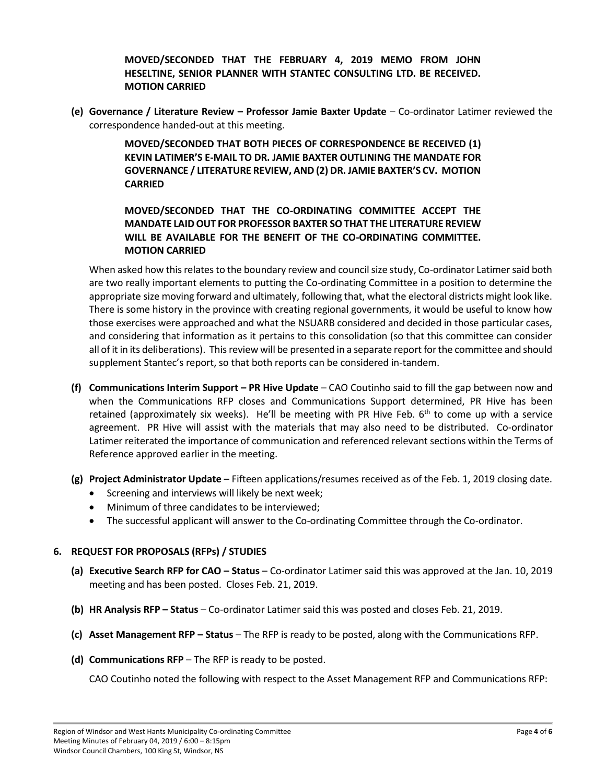**MOVED/SECONDED THAT THE FEBRUARY 4, 2019 MEMO FROM JOHN HESELTINE, SENIOR PLANNER WITH STANTEC CONSULTING LTD. BE RECEIVED. MOTION CARRIED**

**(e) Governance / Literature Review – Professor Jamie Baxter Update** – Co-ordinator Latimer reviewed the correspondence handed-out at this meeting.

> **MOVED/SECONDED THAT BOTH PIECES OF CORRESPONDENCE BE RECEIVED (1) KEVIN LATIMER'S E-MAIL TO DR. JAMIE BAXTER OUTLINING THE MANDATE FOR GOVERNANCE / LITERATURE REVIEW, AND (2) DR. JAMIE BAXTER'S CV. MOTION CARRIED**

# **MOVED/SECONDED THAT THE CO-ORDINATING COMMITTEE ACCEPT THE MANDATE LAID OUT FOR PROFESSOR BAXTER SO THAT THE LITERATURE REVIEW WILL BE AVAILABLE FOR THE BENEFIT OF THE CO-ORDINATING COMMITTEE. MOTION CARRIED**

When asked how this relates to the boundary review and council size study, Co-ordinator Latimer said both are two really important elements to putting the Co-ordinating Committee in a position to determine the appropriate size moving forward and ultimately, following that, what the electoral districts might look like. There is some history in the province with creating regional governments, it would be useful to know how those exercises were approached and what the NSUARB considered and decided in those particular cases, and considering that information as it pertains to this consolidation (so that this committee can consider all of it in its deliberations). Thisreview will be presented in a separate report for the committee and should supplement Stantec's report, so that both reports can be considered in-tandem.

- **(f) Communications Interim Support – PR Hive Update** CAO Coutinho said to fill the gap between now and when the Communications RFP closes and Communications Support determined, PR Hive has been retained (approximately six weeks). He'll be meeting with PR Hive Feb.  $6<sup>th</sup>$  to come up with a service agreement. PR Hive will assist with the materials that may also need to be distributed. Co-ordinator Latimer reiterated the importance of communication and referenced relevant sections within the Terms of Reference approved earlier in the meeting.
- **(g) Project Administrator Update** Fifteen applications/resumes received as of the Feb. 1, 2019 closing date.
	- Screening and interviews will likely be next week;
	- Minimum of three candidates to be interviewed;
	- The successful applicant will answer to the Co-ordinating Committee through the Co-ordinator.

### **6. REQUEST FOR PROPOSALS (RFPs) / STUDIES**

- **(a) Executive Search RFP for CAO – Status** Co-ordinator Latimer said this was approved at the Jan. 10, 2019 meeting and has been posted. Closes Feb. 21, 2019.
- **(b) HR Analysis RFP – Status** Co-ordinator Latimer said this was posted and closes Feb. 21, 2019.
- **(c) Asset Management RFP – Status** The RFP is ready to be posted, along with the Communications RFP.
- **(d) Communications RFP** The RFP is ready to be posted.

CAO Coutinho noted the following with respect to the Asset Management RFP and Communications RFP: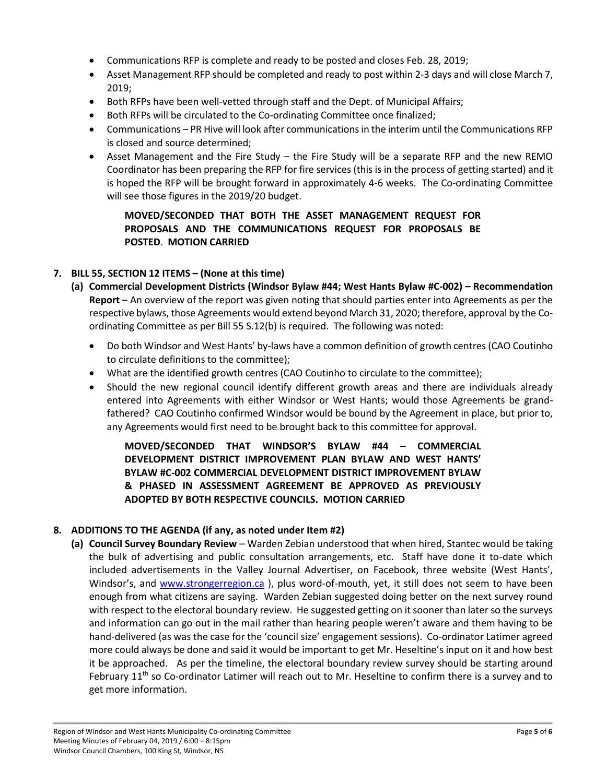- Communications RFP is complete and ready to be posted and closes Feb. 28, 2019;
- Asset Management RFP should be completed and ready to post within 2-3 days and will close March 7, 2019;
- Both RFPs have been well-vetted through staff and the Dept. of Municipal Affairs;
- Both RFPs will be circulated to the Co-ordinating Committee once finalized;
- Communications PR Hive will look after communications in the interim until the Communications RFP is closed and source determined;
- Asset Management and the Fire Study the Fire Study will be a separate RFP and the new REMO Coordinator has been preparing the RFP for fire services (this is in the process of getting started) and it is hoped the RFP will be brought forward in approximately 4-6 weeks. The Co-ordinating Committee will see those figures in the 2019/20 budget.

**MOVED/SECONDED THAT BOTH THE ASSET MANAGEMENT REQUEST FOR PROPOSALS AND THE COMMUNICATIONS REQUEST FOR PROPOSALS BE POSTED**. **MOTION CARRIED**

## **7. BILL 55, SECTION 12 ITEMS – (None at this time)**

- **(a) Commercial Development Districts (Windsor Bylaw #44; West Hants Bylaw #C-002) – Recommendation Report** – An overview of the report was given noting that should parties enter into Agreements as per the respective bylaws, those Agreements would extend beyond March 31, 2020; therefore, approval by the Coordinating Committee as per Bill 55 S.12(b) is required. The following was noted:
	- Do both Windsor and West Hants' by-laws have a common definition of growth centres (CAO Coutinho to circulate definitions to the committee);
	- What are the identified growth centres (CAO Coutinho to circulate to the committee);
	- Should the new regional council identify different growth areas and there are individuals already entered into Agreements with either Windsor or West Hants; would those Agreements be grandfathered? CAO Coutinho confirmed Windsor would be bound by the Agreement in place, but prior to, any Agreements would first need to be brought back to this committee for approval.

**MOVED/SECONDED THAT WINDSOR'S BYLAW #44 – COMMERCIAL DEVELOPMENT DISTRICT IMPROVEMENT PLAN BYLAW AND WEST HANTS' BYLAW #C-002 COMMERCIAL DEVELOPMENT DISTRICT IMPROVEMENT BYLAW & PHASED IN ASSESSMENT AGREEMENT BE APPROVED AS PREVIOUSLY ADOPTED BY BOTH RESPECTIVE COUNCILS. MOTION CARRIED**

### **8. ADDITIONS TO THE AGENDA (if any, as noted under Item #2)**

**(a) Council Survey Boundary Review** – Warden Zebian understood that when hired, Stantec would be taking the bulk of advertising and public consultation arrangements, etc. Staff have done it to-date which included advertisements in the Valley Journal Advertiser, on Facebook, three website (West Hants', Windsor's, and [www.strongerregion.ca](http://www.strongerregion.ca/) ), plus word-of-mouth, yet, it still does not seem to have been enough from what citizens are saying. Warden Zebian suggested doing better on the next survey round with respect to the electoral boundary review. He suggested getting on it sooner than later so the surveys and information can go out in the mail rather than hearing people weren't aware and them having to be hand-delivered (as was the case for the 'council size' engagement sessions). Co-ordinator Latimer agreed more could always be done and said it would be important to get Mr. Heseltine's input on it and how best it be approached. As per the timeline, the electoral boundary review survey should be starting around February  $11<sup>th</sup>$  so Co-ordinator Latimer will reach out to Mr. Heseltine to confirm there is a survey and to get more information.